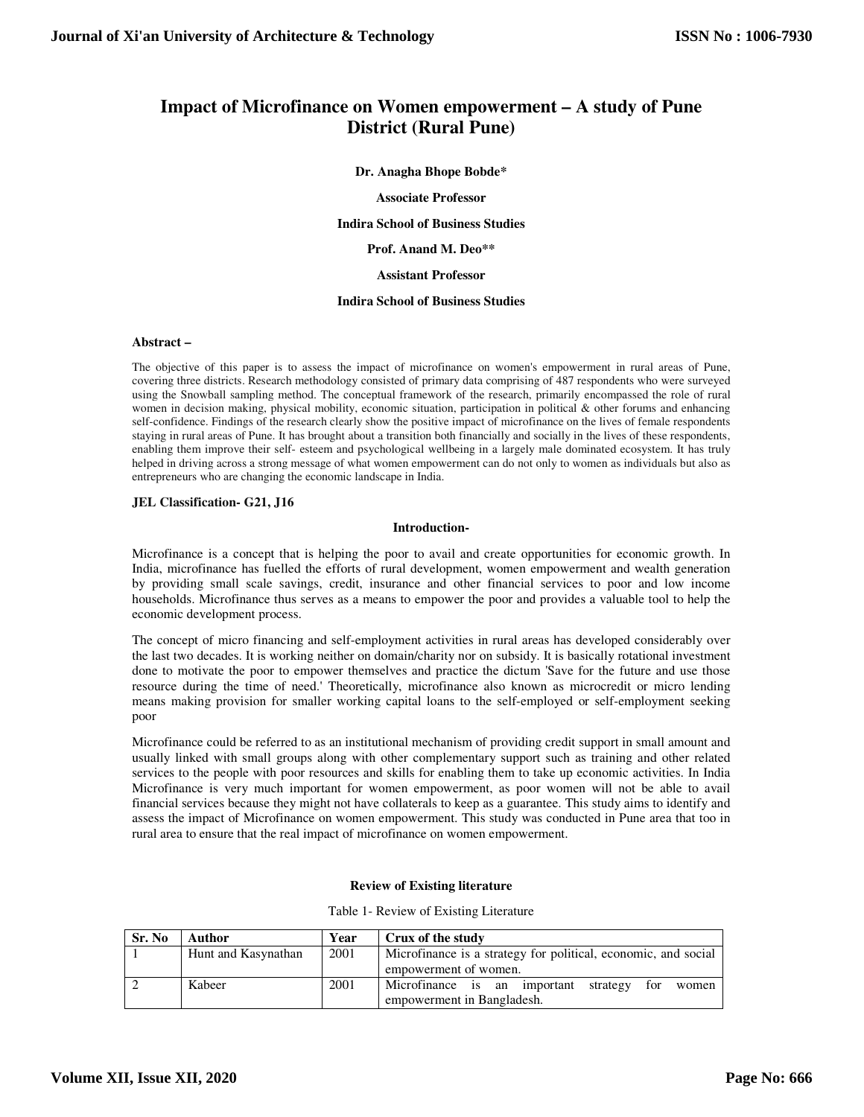# **Impact of Microfinance on Women empowerment – A study of Pune District (Rural Pune)**

## **Dr. Anagha Bhope Bobde\***

#### **Associate Professor**

**Indira School of Business Studies** 

**Prof. Anand M. Deo\*\*** 

### **Assistant Professor**

## **Indira School of Business Studies**

## **Abstract –**

The objective of this paper is to assess the impact of microfinance on women's empowerment in rural areas of Pune, covering three districts. Research methodology consisted of primary data comprising of 487 respondents who were surveyed using the Snowball sampling method. The conceptual framework of the research, primarily encompassed the role of rural women in decision making, physical mobility, economic situation, participation in political & other forums and enhancing self-confidence. Findings of the research clearly show the positive impact of microfinance on the lives of female respondents staying in rural areas of Pune. It has brought about a transition both financially and socially in the lives of these respondents, enabling them improve their self- esteem and psychological wellbeing in a largely male dominated ecosystem. It has truly helped in driving across a strong message of what women empowerment can do not only to women as individuals but also as entrepreneurs who are changing the economic landscape in India.

# **JEL Classification- G21, J16**

## **Introduction-**

Microfinance is a concept that is helping the poor to avail and create opportunities for economic growth. In India, microfinance has fuelled the efforts of rural development, women empowerment and wealth generation by providing small scale savings, credit, insurance and other financial services to poor and low income households. Microfinance thus serves as a means to empower the poor and provides a valuable tool to help the economic development process.

The concept of micro financing and self-employment activities in rural areas has developed considerably over the last two decades. It is working neither on domain/charity nor on subsidy. It is basically rotational investment done to motivate the poor to empower themselves and practice the dictum 'Save for the future and use those resource during the time of need.' Theoretically, microfinance also known as microcredit or micro lending means making provision for smaller working capital loans to the self-employed or self-employment seeking poor

Microfinance could be referred to as an institutional mechanism of providing credit support in small amount and usually linked with small groups along with other complementary support such as training and other related services to the people with poor resources and skills for enabling them to take up economic activities. In India Microfinance is very much important for women empowerment, as poor women will not be able to avail financial services because they might not have collaterals to keep as a guarantee. This study aims to identify and assess the impact of Microfinance on women empowerment. This study was conducted in Pune area that too in rural area to ensure that the real impact of microfinance on women empowerment.

#### **Review of Existing literature**

| Sr. No | Author              | Year | Crux of the study                                              |  |
|--------|---------------------|------|----------------------------------------------------------------|--|
|        | Hunt and Kasynathan | 2001 | Microfinance is a strategy for political, economic, and social |  |
|        |                     |      | empowerment of women.                                          |  |
|        | Kabeer              | 2001 | Microfinance is an important<br>for<br>strategy<br>women       |  |
|        |                     |      | empowerment in Bangladesh.                                     |  |

|  |  |  |  |  | Table 1- Review of Existing Literature |
|--|--|--|--|--|----------------------------------------|
|--|--|--|--|--|----------------------------------------|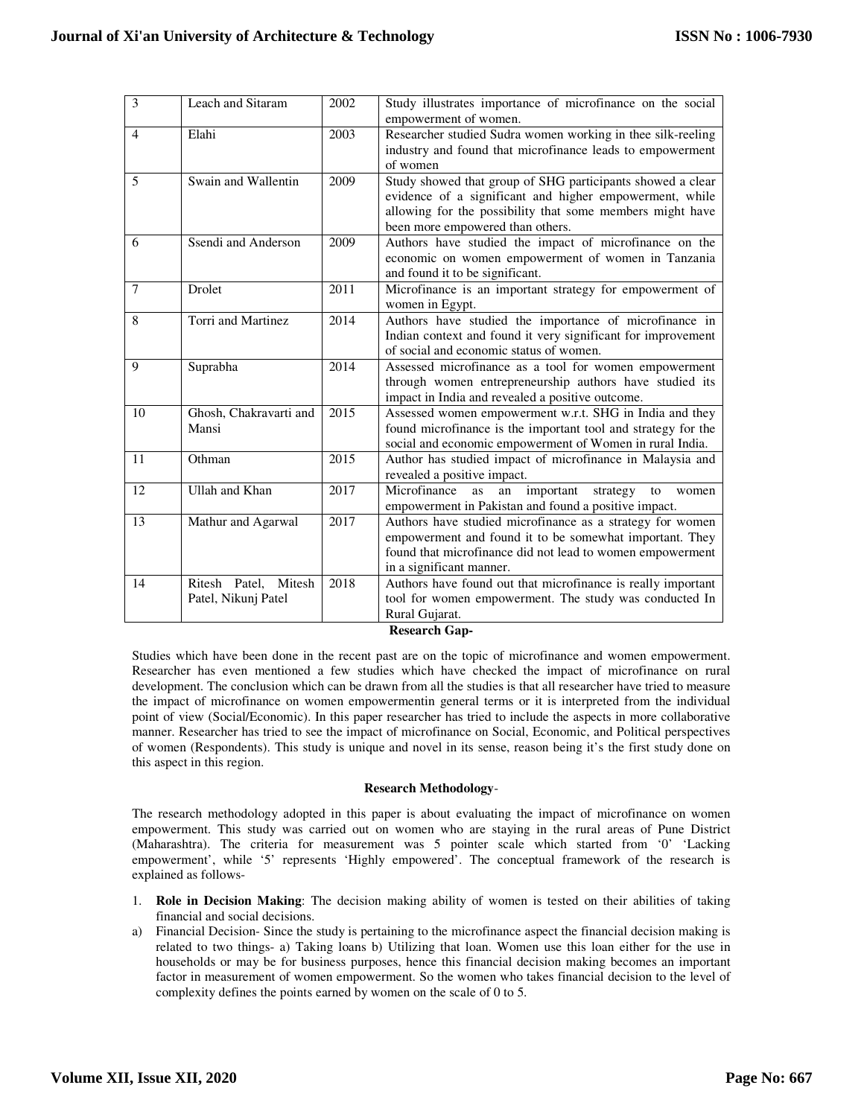| 3              | Leach and Sitaram      | 2002 | Study illustrates importance of microfinance on the social       |
|----------------|------------------------|------|------------------------------------------------------------------|
|                |                        |      | empowerment of women.                                            |
| $\overline{4}$ | Elahi                  | 2003 | Researcher studied Sudra women working in thee silk-reeling      |
|                |                        |      | industry and found that microfinance leads to empowerment        |
|                |                        |      | of women                                                         |
| 5              | Swain and Wallentin    | 2009 | Study showed that group of SHG participants showed a clear       |
|                |                        |      | evidence of a significant and higher empowerment, while          |
|                |                        |      | allowing for the possibility that some members might have        |
|                |                        |      | been more empowered than others.                                 |
| 6              | Ssendi and Anderson    | 2009 | Authors have studied the impact of microfinance on the           |
|                |                        |      | economic on women empowerment of women in Tanzania               |
|                |                        |      | and found it to be significant.                                  |
| $\tau$         | Drolet                 | 2011 | Microfinance is an important strategy for empowerment of         |
|                |                        |      | women in Egypt.                                                  |
| 8              | Torri and Martinez     | 2014 | Authors have studied the importance of microfinance in           |
|                |                        |      | Indian context and found it very significant for improvement     |
|                |                        |      | of social and economic status of women.                          |
| 9              | Suprabha               | 2014 | Assessed microfinance as a tool for women empowerment            |
|                |                        |      | through women entrepreneurship authors have studied its          |
|                |                        |      | impact in India and revealed a positive outcome.                 |
| 10             | Ghosh, Chakravarti and | 2015 | Assessed women empowerment w.r.t. SHG in India and they          |
|                | Mansi                  |      | found microfinance is the important tool and strategy for the    |
|                |                        |      | social and economic empowerment of Women in rural India.         |
| 11             | Othman                 | 2015 | Author has studied impact of microfinance in Malaysia and        |
|                |                        |      | revealed a positive impact.                                      |
| 12             | Ullah and Khan         | 2017 | Microfinance<br>important<br>strategy<br>as<br>an<br>to<br>women |
|                |                        |      | empowerment in Pakistan and found a positive impact.             |
| 13             | Mathur and Agarwal     | 2017 | Authors have studied microfinance as a strategy for women        |
|                |                        |      | empowerment and found it to be somewhat important. They          |
|                |                        |      | found that microfinance did not lead to women empowerment        |
|                |                        |      | in a significant manner.                                         |
| 14             | Ritesh Patel, Mitesh   | 2018 | Authors have found out that microfinance is really important     |
|                | Patel, Nikunj Patel    |      | tool for women empowerment. The study was conducted In           |
|                |                        |      | Rural Gujarat.                                                   |

**Research Gap-**

Studies which have been done in the recent past are on the topic of microfinance and women empowerment. Researcher has even mentioned a few studies which have checked the impact of microfinance on rural development. The conclusion which can be drawn from all the studies is that all researcher have tried to measure the impact of microfinance on women empowermentin general terms or it is interpreted from the individual point of view (Social/Economic). In this paper researcher has tried to include the aspects in more collaborative manner. Researcher has tried to see the impact of microfinance on Social, Economic, and Political perspectives of women (Respondents). This study is unique and novel in its sense, reason being it's the first study done on this aspect in this region.

#### **Research Methodology**-

The research methodology adopted in this paper is about evaluating the impact of microfinance on women empowerment. This study was carried out on women who are staying in the rural areas of Pune District (Maharashtra). The criteria for measurement was 5 pointer scale which started from '0' 'Lacking empowerment', while '5' represents 'Highly empowered'. The conceptual framework of the research is explained as follows-

- 1. **Role in Decision Making**: The decision making ability of women is tested on their abilities of taking financial and social decisions.
- a) Financial Decision- Since the study is pertaining to the microfinance aspect the financial decision making is related to two things- a) Taking loans b) Utilizing that loan. Women use this loan either for the use in households or may be for business purposes, hence this financial decision making becomes an important factor in measurement of women empowerment. So the women who takes financial decision to the level of complexity defines the points earned by women on the scale of 0 to 5.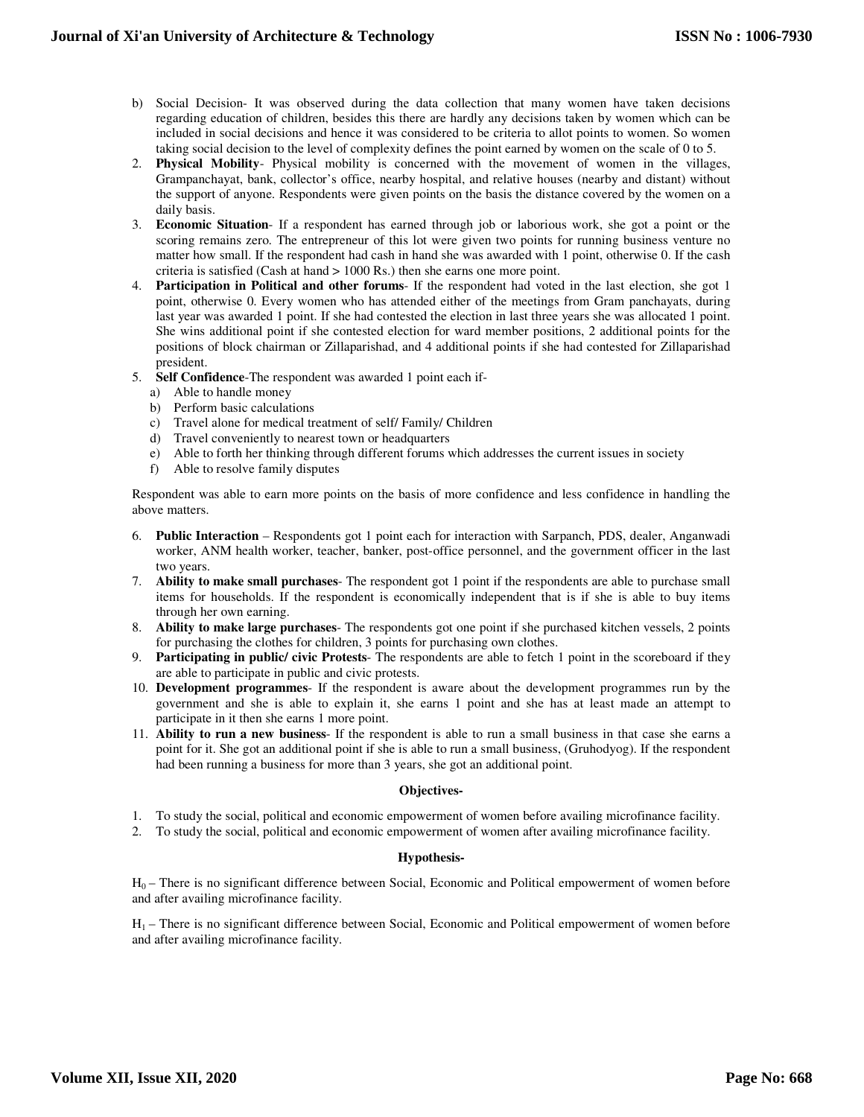- b) Social Decision- It was observed during the data collection that many women have taken decisions regarding education of children, besides this there are hardly any decisions taken by women which can be included in social decisions and hence it was considered to be criteria to allot points to women. So women taking social decision to the level of complexity defines the point earned by women on the scale of 0 to 5.
- 2. **Physical Mobility** Physical mobility is concerned with the movement of women in the villages, Grampanchayat, bank, collector's office, nearby hospital, and relative houses (nearby and distant) without the support of anyone. Respondents were given points on the basis the distance covered by the women on a daily basis.
- 3. **Economic Situation** If a respondent has earned through job or laborious work, she got a point or the scoring remains zero. The entrepreneur of this lot were given two points for running business venture no matter how small. If the respondent had cash in hand she was awarded with 1 point, otherwise 0. If the cash criteria is satisfied (Cash at hand > 1000 Rs.) then she earns one more point.
- 4. **Participation in Political and other forums** If the respondent had voted in the last election, she got 1 point, otherwise 0. Every women who has attended either of the meetings from Gram panchayats, during last year was awarded 1 point. If she had contested the election in last three years she was allocated 1 point. She wins additional point if she contested election for ward member positions, 2 additional points for the positions of block chairman or Zillaparishad, and 4 additional points if she had contested for Zillaparishad president.
- 5. **Self Confidence**-The respondent was awarded 1 point each if
	- a) Able to handle money
	- b) Perform basic calculations
	- c) Travel alone for medical treatment of self/ Family/ Children
	- d) Travel conveniently to nearest town or headquarters
	- e) Able to forth her thinking through different forums which addresses the current issues in society
	- f) Able to resolve family disputes

Respondent was able to earn more points on the basis of more confidence and less confidence in handling the above matters.

- 6. **Public Interaction** Respondents got 1 point each for interaction with Sarpanch, PDS, dealer, Anganwadi worker, ANM health worker, teacher, banker, post-office personnel, and the government officer in the last two years.
- 7. **Ability to make small purchases** The respondent got 1 point if the respondents are able to purchase small items for households. If the respondent is economically independent that is if she is able to buy items through her own earning.
- 8. **Ability to make large purchases** The respondents got one point if she purchased kitchen vessels, 2 points for purchasing the clothes for children, 3 points for purchasing own clothes.
- 9. **Participating in public/ civic Protests** The respondents are able to fetch 1 point in the scoreboard if they are able to participate in public and civic protests.
- 10. **Development programmes** If the respondent is aware about the development programmes run by the government and she is able to explain it, she earns 1 point and she has at least made an attempt to participate in it then she earns 1 more point.
- 11. **Ability to run a new business** If the respondent is able to run a small business in that case she earns a point for it. She got an additional point if she is able to run a small business, (Gruhodyog). If the respondent had been running a business for more than 3 years, she got an additional point.

# **Objectives-**

- 1. To study the social, political and economic empowerment of women before availing microfinance facility.
- 2. To study the social, political and economic empowerment of women after availing microfinance facility.

# **Hypothesis-**

 $H_0$  – There is no significant difference between Social, Economic and Political empowerment of women before and after availing microfinance facility.

 $H_1$  – There is no significant difference between Social, Economic and Political empowerment of women before and after availing microfinance facility.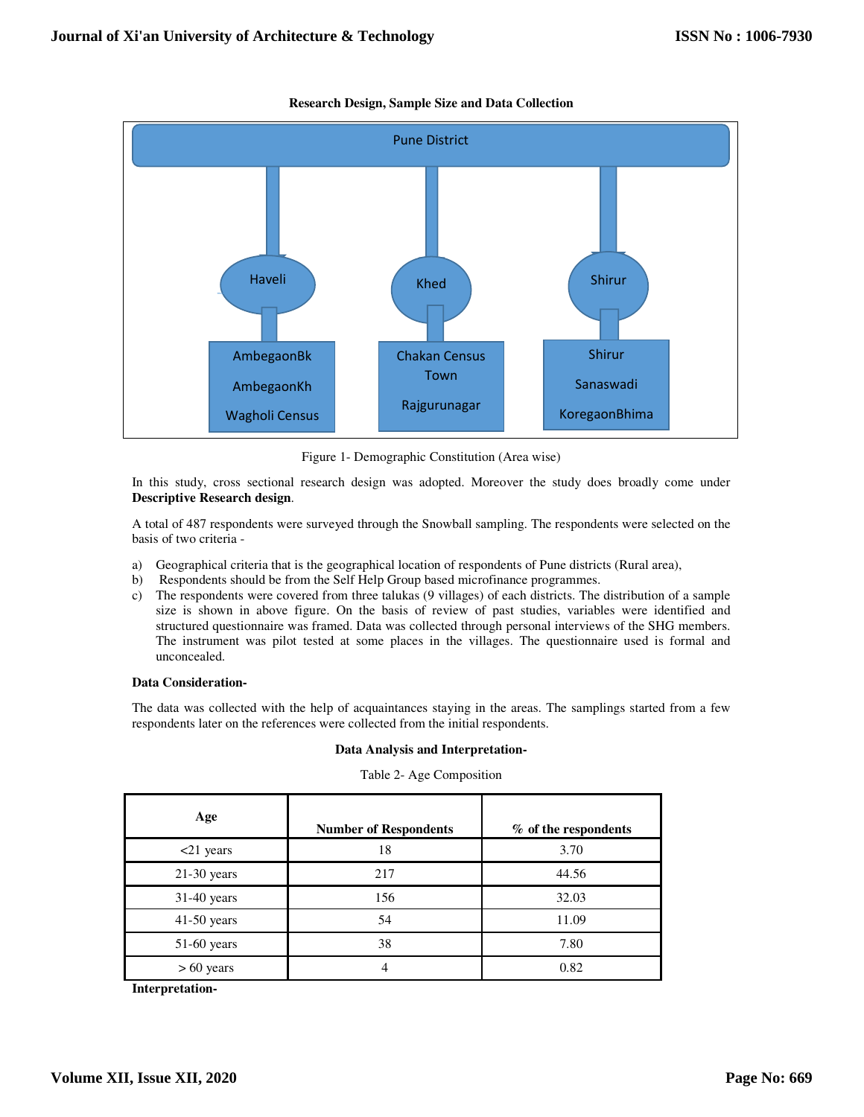

**Research Design, Sample Size and Data Collection** 

Figure 1- Demographic Constitution (Area wise)

In this study, cross sectional research design was adopted. Moreover the study does broadly come under **Descriptive Research design**.

A total of 487 respondents were surveyed through the Snowball sampling. The respondents were selected on the basis of two criteria -

- a) Geographical criteria that is the geographical location of respondents of Pune districts (Rural area),
- b) Respondents should be from the Self Help Group based microfinance programmes.
- c) The respondents were covered from three talukas (9 villages) of each districts. The distribution of a sample size is shown in above figure. On the basis of review of past studies, variables were identified and structured questionnaire was framed. Data was collected through personal interviews of the SHG members. The instrument was pilot tested at some places in the villages. The questionnaire used is formal and unconcealed.

# **Data Consideration-**

The data was collected with the help of acquaintances staying in the areas. The samplings started from a few respondents later on the references were collected from the initial respondents.

#### **Data Analysis and Interpretation-**

| Age           | <b>Number of Respondents</b> | % of the respondents |
|---------------|------------------------------|----------------------|
| $<$ 21 years  | 18                           | 3.70                 |
| $21-30$ years | 217                          | 44.56                |
| 31-40 years   | 156                          | 32.03                |
| $41-50$ years | 54                           | 11.09                |
| $51-60$ years | 38                           | 7.80                 |
| $> 60$ years  |                              | 0.82                 |

Table 2- Age Composition

**Interpretation-**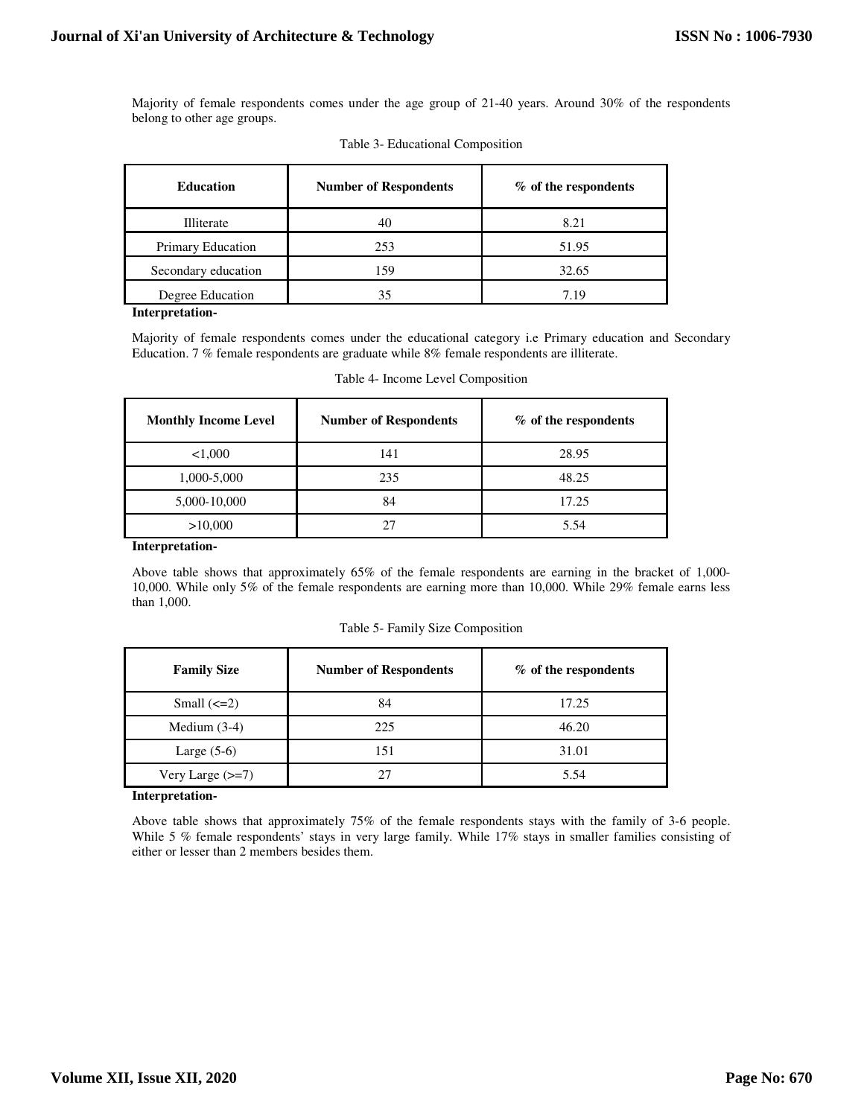Majority of female respondents comes under the age group of 21-40 years. Around 30% of the respondents belong to other age groups.

| Table 3- Educational Composition |  |
|----------------------------------|--|
|----------------------------------|--|

| <b>Education</b>    | <b>Number of Respondents</b> | % of the respondents |
|---------------------|------------------------------|----------------------|
| Illiterate          | 40                           | 8.21                 |
| Primary Education   | 253                          | 51.95                |
| Secondary education | 159                          | 32.65                |
| Degree Education    | 35                           | 7.19                 |

#### **Interpretation-**

Majority of female respondents comes under the educational category i.e Primary education and Secondary Education. 7 % female respondents are graduate while 8% female respondents are illiterate.

| <b>Monthly Income Level</b> | <b>Number of Respondents</b> | % of the respondents |
|-----------------------------|------------------------------|----------------------|
| 1,000                       | 141                          | 28.95                |
| 1,000-5,000                 | 235                          | 48.25                |
| 5,000-10,000                | 84                           | 17.25                |
| >10,000                     | 27                           | 5.54                 |

Table 4- Income Level Composition

## **Interpretation-**

Above table shows that approximately 65% of the female respondents are earning in the bracket of 1,000- 10,000. While only 5% of the female respondents are earning more than 10,000. While 29% female earns less than 1,000.

| Table 5- Family Size Composition |  |  |
|----------------------------------|--|--|
|                                  |  |  |

| <b>Family Size</b>          | <b>Number of Respondents</b> | % of the respondents |
|-----------------------------|------------------------------|----------------------|
| Small $\left(\leq=2\right)$ | 84                           | 17.25                |
| Medium $(3-4)$              | 225                          | 46.20                |
| Large $(5-6)$               | 151                          | 31.01                |
| Very Large $(\geq=7)$       | 27                           | 5.54                 |

#### **Interpretation-**

Above table shows that approximately 75% of the female respondents stays with the family of 3-6 people. While 5 % female respondents' stays in very large family. While 17% stays in smaller families consisting of either or lesser than 2 members besides them.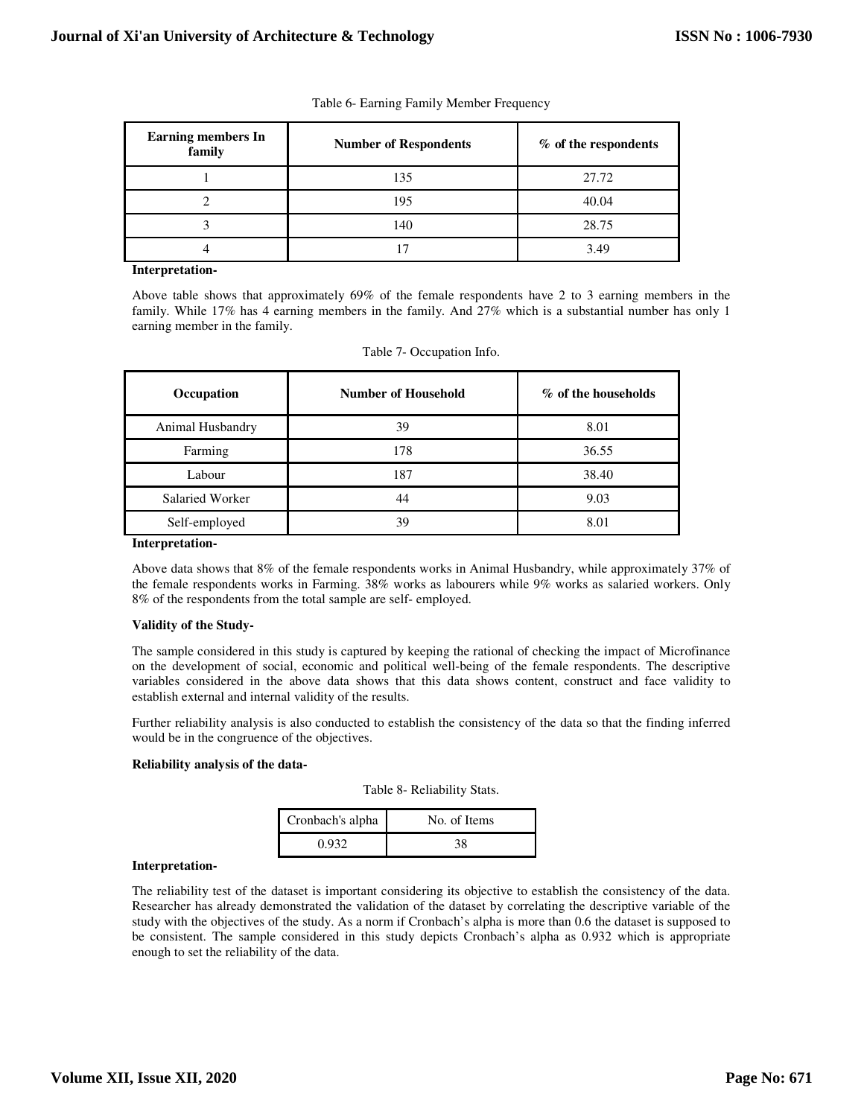| <b>Earning members In</b><br>family | <b>Number of Respondents</b> | % of the respondents |
|-------------------------------------|------------------------------|----------------------|
|                                     | 135                          | 27.72                |
|                                     | 195                          | 40.04                |
|                                     | 140                          | 28.75                |
|                                     |                              | 3.49                 |

## Table 6- Earning Family Member Frequency

## **Interpretation-**

Above table shows that approximately 69% of the female respondents have 2 to 3 earning members in the family. While 17% has 4 earning members in the family. And 27% which is a substantial number has only 1 earning member in the family.

| Occupation       | Number of Household | % of the households |
|------------------|---------------------|---------------------|
| Animal Husbandry | 39                  | 8.01                |
| Farming          | 178                 | 36.55               |
| Labour           | 187                 | 38.40               |
| Salaried Worker  | 44                  | 9.03                |
| Self-employed    | 39                  | 8.01                |

## Table 7- Occupation Info.

### **Interpretation-**

Above data shows that 8% of the female respondents works in Animal Husbandry, while approximately 37% of the female respondents works in Farming. 38% works as labourers while 9% works as salaried workers. Only 8% of the respondents from the total sample are self- employed.

# **Validity of the Study-**

The sample considered in this study is captured by keeping the rational of checking the impact of Microfinance on the development of social, economic and political well-being of the female respondents. The descriptive variables considered in the above data shows that this data shows content, construct and face validity to establish external and internal validity of the results.

Further reliability analysis is also conducted to establish the consistency of the data so that the finding inferred would be in the congruence of the objectives.

# **Reliability analysis of the data-**

| Table 8- Reliability Stats. |  |
|-----------------------------|--|
|-----------------------------|--|

| Cronbach's alpha | No. of Items |
|------------------|--------------|
| 0.932            | 38           |

# **Interpretation-**

The reliability test of the dataset is important considering its objective to establish the consistency of the data. Researcher has already demonstrated the validation of the dataset by correlating the descriptive variable of the study with the objectives of the study. As a norm if Cronbach's alpha is more than 0.6 the dataset is supposed to be consistent. The sample considered in this study depicts Cronbach's alpha as 0.932 which is appropriate enough to set the reliability of the data.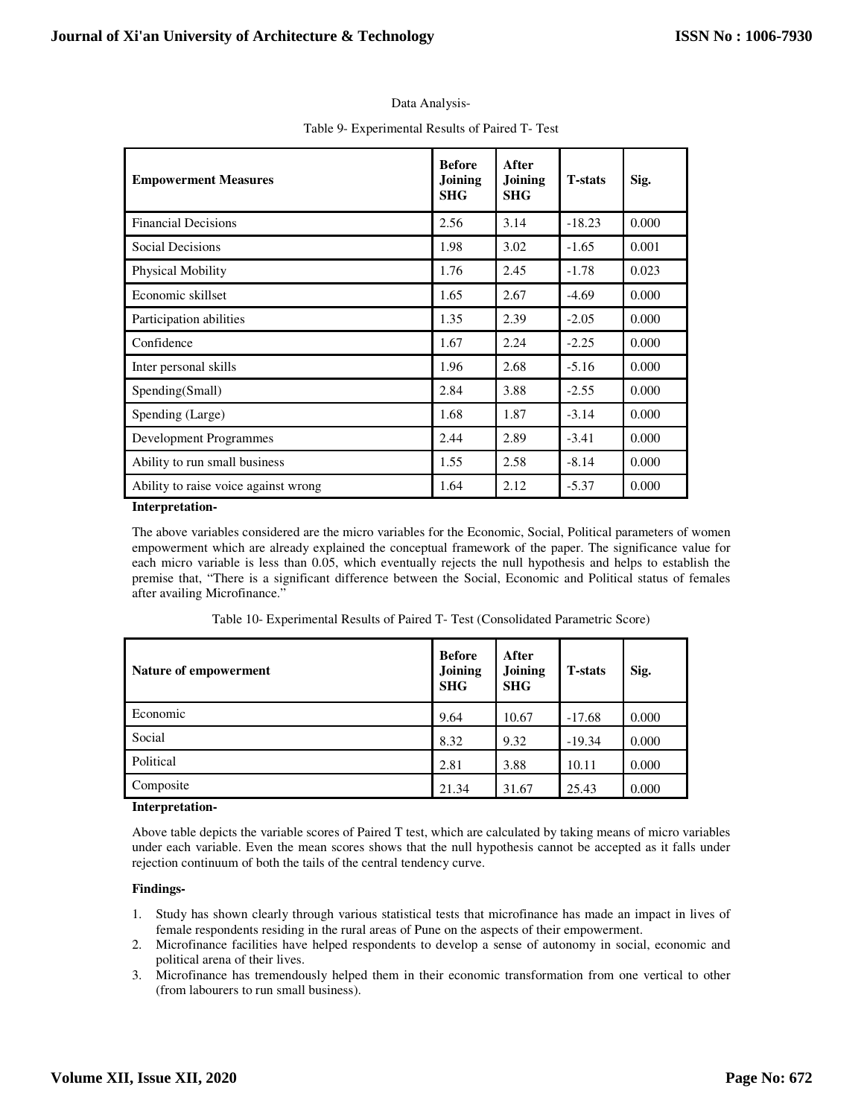| <b>Empowerment Measures</b>                                                      | <b>Before</b><br>Joining<br><b>SHG</b> | After<br>Joining<br><b>SHG</b> | <b>T-stats</b> | Sig.  |
|----------------------------------------------------------------------------------|----------------------------------------|--------------------------------|----------------|-------|
| <b>Financial Decisions</b>                                                       | 2.56                                   | 3.14                           | $-18.23$       | 0.000 |
| Social Decisions                                                                 | 1.98                                   | 3.02                           | $-1.65$        | 0.001 |
| Physical Mobility                                                                | 1.76                                   | 2.45                           | $-1.78$        | 0.023 |
| Economic skillset                                                                | 1.65                                   | 2.67                           | $-4.69$        | 0.000 |
| Participation abilities                                                          | 1.35                                   | 2.39                           | $-2.05$        | 0.000 |
| Confidence                                                                       | 1.67                                   | 2.24                           | $-2.25$        | 0.000 |
| Inter personal skills                                                            | 1.96                                   | 2.68                           | $-5.16$        | 0.000 |
| Spending(Small)                                                                  | 2.84                                   | 3.88                           | $-2.55$        | 0.000 |
| Spending (Large)                                                                 | 1.68                                   | 1.87                           | $-3.14$        | 0.000 |
| <b>Development Programmes</b>                                                    | 2.44                                   | 2.89                           | $-3.41$        | 0.000 |
| Ability to run small business                                                    | 1.55                                   | 2.58                           | $-8.14$        | 0.000 |
| Ability to raise voice against wrong<br>$\mathbf{r}$ and the set of $\mathbf{r}$ | 1.64                                   | 2.12                           | $-5.37$        | 0.000 |

# Data Analysis-

#### **Interpretation-**

The above variables considered are the micro variables for the Economic, Social, Political parameters of women empowerment which are already explained the conceptual framework of the paper. The significance value for each micro variable is less than 0.05, which eventually rejects the null hypothesis and helps to establish the premise that, "There is a significant difference between the Social, Economic and Political status of females after availing Microfinance."

| Nature of empowerment | <b>Before</b><br>Joining<br><b>SHG</b> | After<br>Joining<br><b>SHG</b> | <b>T</b> -stats | Sig.  |
|-----------------------|----------------------------------------|--------------------------------|-----------------|-------|
| Economic              | 9.64                                   | 10.67                          | $-17.68$        | 0.000 |
| Social                | 8.32                                   | 9.32                           | $-19.34$        | 0.000 |
| Political             | 2.81                                   | 3.88                           | 10.11           | 0.000 |
| Composite             | 21.34                                  | 31.67                          | 25.43           | 0.000 |

Table 10- Experimental Results of Paired T- Test (Consolidated Parametric Score)

#### **Interpretation-**

Above table depicts the variable scores of Paired T test, which are calculated by taking means of micro variables under each variable. Even the mean scores shows that the null hypothesis cannot be accepted as it falls under rejection continuum of both the tails of the central tendency curve.

# **Findings-**

- 1. Study has shown clearly through various statistical tests that microfinance has made an impact in lives of female respondents residing in the rural areas of Pune on the aspects of their empowerment.
- 2. Microfinance facilities have helped respondents to develop a sense of autonomy in social, economic and political arena of their lives.
- 3. Microfinance has tremendously helped them in their economic transformation from one vertical to other (from labourers to run small business).